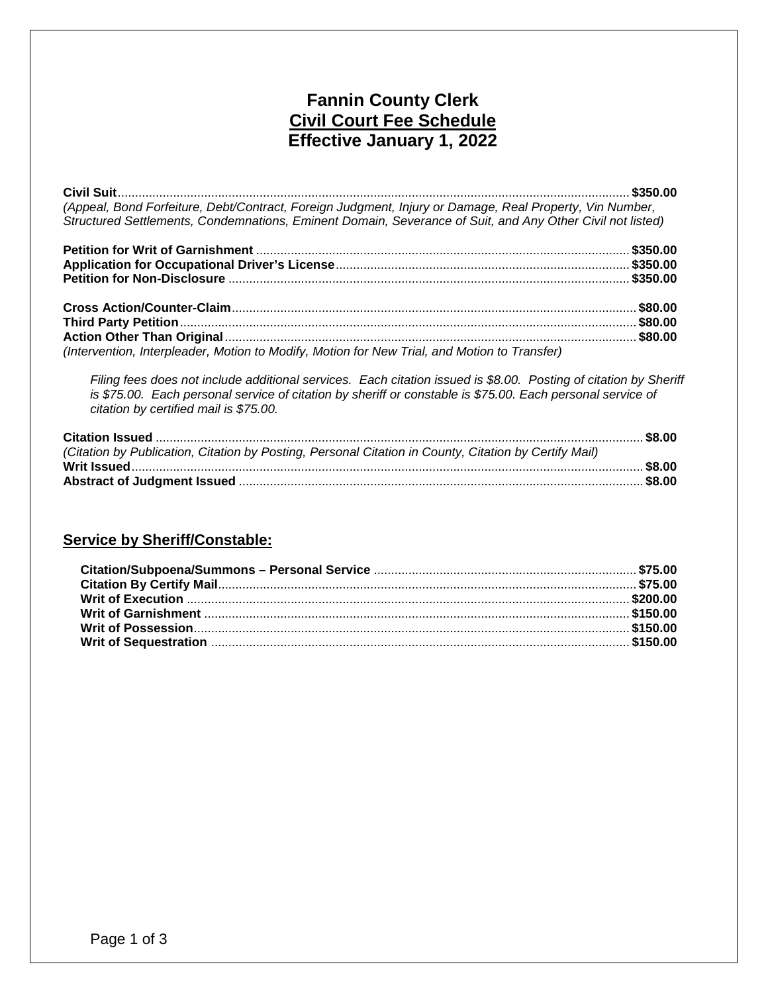# **Fannin County Clerk Civil Court Fee Schedule Effective January 1, 2022**

**Civil Suit**.................................................................................................................................................... **\$350.00** *(Appeal, Bond Forfeiture, Debt/Contract, Foreign Judgment, Injury or Damage, Real Property, Vin Number, Structured Settlements, Condemnations, Eminent Domain, Severance of Suit, and Any Other Civil not listed)*

| (Intervention, Interpleader, Motion to Modify, Motion for New Trial, and Motion to Transfer) |  |
|----------------------------------------------------------------------------------------------|--|

*Filing fees does not include additional services. Each citation issued is \$8.00. Posting of citation by Sheriff is \$75.00. Each personal service of citation by sheriff or constable is \$75.00. Each personal service of citation by certified mail is \$75.00.*

| (Citation by Publication, Citation by Posting, Personal Citation in County, Citation by Certify Mail) |  |
|-------------------------------------------------------------------------------------------------------|--|
|                                                                                                       |  |
|                                                                                                       |  |
|                                                                                                       |  |

### **Service by Sheriff/Constable:**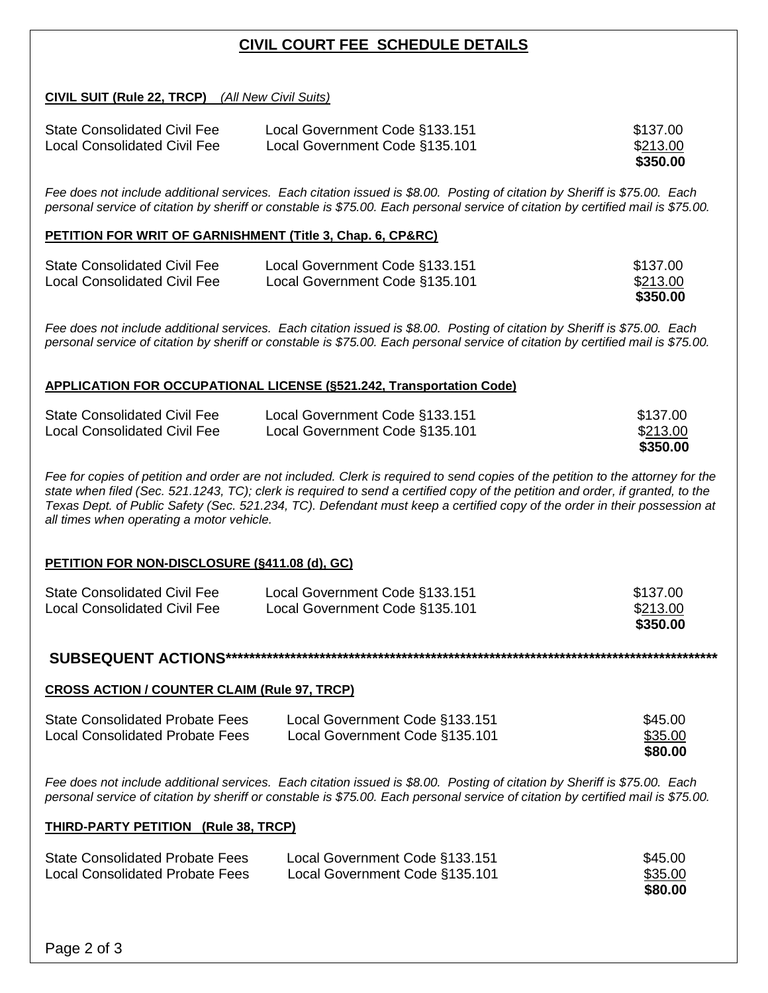# **CIVIL COURT FEE SCHEDULE DETAILS**

**CIVIL SUIT (Rule 22, TRCP)** *(All New Civil Suits)*

| <b>State Consolidated Civil Fee</b> | Local Government Code §133.151 | \$137.00 |
|-------------------------------------|--------------------------------|----------|
| Local Consolidated Civil Fee        | Local Government Code §135.101 | \$213.00 |
|                                     |                                | \$350.00 |

*Fee does not include additional services. Each citation issued is \$8.00. Posting of citation by Sheriff is \$75.00. Each personal service of citation by sheriff or constable is \$75.00. Each personal service of citation by certified mail is \$75.00.*

#### **PETITION FOR WRIT OF GARNISHMENT (Title 3, Chap. 6, CP&RC)**

| <b>State Consolidated Civil Fee</b> | Local Government Code §133.151 | \$137.00 |
|-------------------------------------|--------------------------------|----------|
| <b>Local Consolidated Civil Fee</b> | Local Government Code §135.101 | \$213.00 |
|                                     |                                | \$350.00 |

*Fee does not include additional services. Each citation issued is \$8.00. Posting of citation by Sheriff is \$75.00. Each personal service of citation by sheriff or constable is \$75.00. Each personal service of citation by certified mail is \$75.00.*

#### **APPLICATION FOR OCCUPATIONAL LICENSE (§521.242, Transportation Code)**

|                                     |                                | \$350.00 |
|-------------------------------------|--------------------------------|----------|
| <b>Local Consolidated Civil Fee</b> | Local Government Code §135.101 | \$213.00 |
| <b>State Consolidated Civil Fee</b> | Local Government Code §133.151 | \$137.00 |

Fee for copies of petition and order are not included. Clerk is required to send copies of the petition to the attorney for the *state when filed (Sec. 521.1243, TC); clerk is required to send a certified copy of the petition and order, if granted, to the Texas Dept. of Public Safety (Sec. 521.234, TC). Defendant must keep a certified copy of the order in their possession at all times when operating a motor vehicle.*

#### **PETITION FOR NON-DISCLOSURE (§411.08 (d), GC)**

| <b>State Consolidated Civil Fee</b> | Local Government Code §133.151 | \$137.00 |
|-------------------------------------|--------------------------------|----------|
| Local Consolidated Civil Fee        | Local Government Code §135.101 | \$213.00 |
|                                     |                                | \$350.00 |

**SUBSEQUENT ACTIONS\*\*\*\*\*\*\*\*\*\*\*\*\*\*\*\*\*\*\*\*\*\*\*\*\*\*\*\*\*\*\*\*\*\*\*\*\*\*\*\*\*\*\*\*\*\*\*\*\*\*\*\*\*\*\*\*\*\*\*\*\*\*\*\*\*\*\*\*\*\*\*\*\*\*\*\*\*\*\*\*\*\*\*\***

#### **CROSS ACTION / COUNTER CLAIM (Rule 97, TRCP)**

| <b>State Consolidated Probate Fees</b> | Local Government Code §133.151 | \$45.00 |
|----------------------------------------|--------------------------------|---------|
| <b>Local Consolidated Probate Fees</b> | Local Government Code §135.101 | \$35.00 |
|                                        |                                | \$80.00 |

*Fee does not include additional services. Each citation issued is \$8.00. Posting of citation by Sheriff is \$75.00. Each personal service of citation by sheriff or constable is \$75.00. Each personal service of citation by certified mail is \$75.00.*

#### **THIRD-PARTY PETITION (Rule 38, TRCP)**

| <b>State Consolidated Probate Fees</b> | Local Government Code §133.151 | \$45.00 |
|----------------------------------------|--------------------------------|---------|
| <b>Local Consolidated Probate Fees</b> | Local Government Code §135.101 | \$35.00 |
|                                        |                                | \$80.00 |